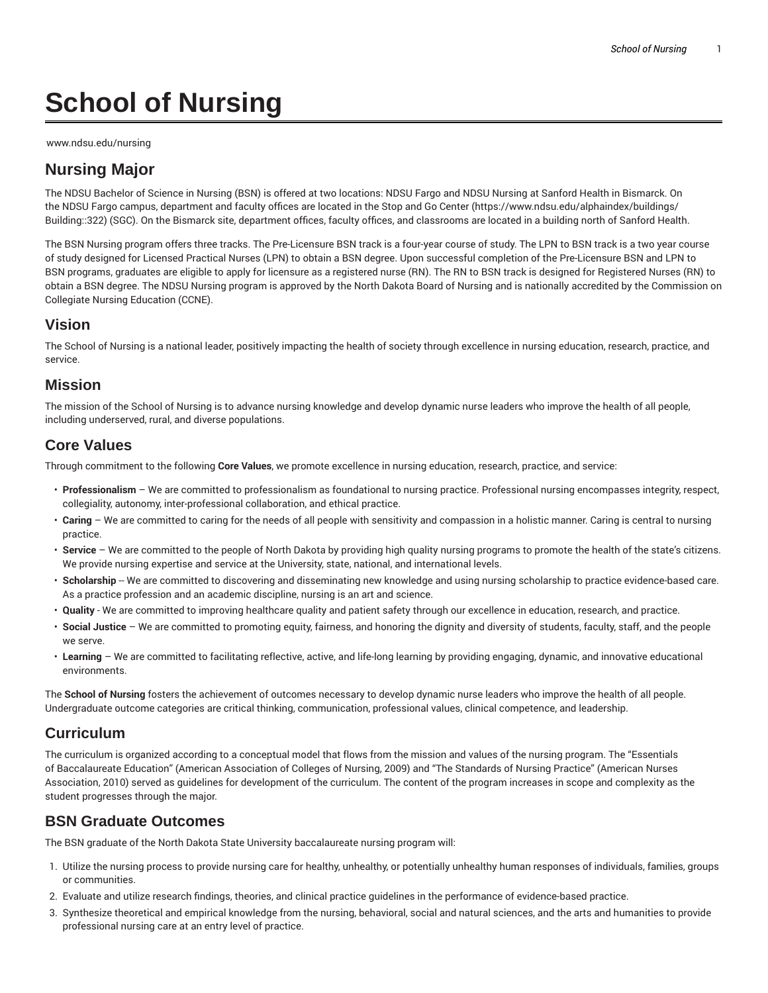# **School of Nursing**

www.ndsu.edu/nursing

# **Nursing Major**

The NDSU Bachelor of Science in Nursing (BSN) is offered at two locations: NDSU Fargo and NDSU Nursing at Sanford Health in Bismarck. On the NDSU Fargo campus, department and faculty offices are located in the Stop and Go Center (https://www.ndsu.edu/alphaindex/buildings/ Building::322) (SGC). On the Bismarck site, department offices, faculty offices, and classrooms are located in a building north of Sanford Health.

The BSN Nursing program offers three tracks. The Pre-Licensure BSN track is a four-year course of study. The LPN to BSN track is a two year course of study designed for Licensed Practical Nurses (LPN) to obtain a BSN degree. Upon successful completion of the Pre-Licensure BSN and LPN to BSN programs, graduates are eligible to apply for licensure as a registered nurse (RN). The RN to BSN track is designed for Registered Nurses (RN) to obtain a BSN degree. The NDSU Nursing program is approved by the North Dakota Board of Nursing and is nationally accredited by the Commission on Collegiate Nursing Education (CCNE).

#### **Vision**

The School of Nursing is a national leader, positively impacting the health of society through excellence in nursing education, research, practice, and service.

#### **Mission**

The mission of the School of Nursing is to advance nursing knowledge and develop dynamic nurse leaders who improve the health of all people, including underserved, rural, and diverse populations.

### **Core Values**

Through commitment to the following **Core Values**, we promote excellence in nursing education, research, practice, and service:

- **Professionalism** We are committed to professionalism as foundational to nursing practice. Professional nursing encompasses integrity, respect, collegiality, autonomy, inter-professional collaboration, and ethical practice.
- **Caring** We are committed to caring for the needs of all people with sensitivity and compassion in a holistic manner. Caring is central to nursing practice.
- **Service** We are committed to the people of North Dakota by providing high quality nursing programs to promote the health of the state's citizens. We provide nursing expertise and service at the University, state, national, and international levels.
- Scholarship -- We are committed to discovering and disseminating new knowledge and using nursing scholarship to practice evidence-based care. As a practice profession and an academic discipline, nursing is an art and science.
- **Quality** We are committed to improving healthcare quality and patient safety through our excellence in education, research, and practice.
- **Social Justice** We are committed to promoting equity, fairness, and honoring the dignity and diversity of students, faculty, staff, and the people we serve.
- **Learning** We are committed to facilitating reflective, active, and life-long learning by providing engaging, dynamic, and innovative educational environments.

The **School of Nursing** fosters the achievement of outcomes necessary to develop dynamic nurse leaders who improve the health of all people. Undergraduate outcome categories are critical thinking, communication, professional values, clinical competence, and leadership.

# **Curriculum**

The curriculum is organized according to a conceptual model that flows from the mission and values of the nursing program. The "Essentials of Baccalaureate Education" (American Association of Colleges of Nursing, 2009) and "The Standards of Nursing Practice" (American Nurses Association, 2010) served as guidelines for development of the curriculum. The content of the program increases in scope and complexity as the student progresses through the major.

# **BSN Graduate Outcomes**

The BSN graduate of the North Dakota State University baccalaureate nursing program will:

- 1. Utilize the nursing process to provide nursing care for healthy, unhealthy, or potentially unhealthy human responses of individuals, families, groups or communities.
- 2. Evaluate and utilize research findings, theories, and clinical practice guidelines in the performance of evidence-based practice.
- 3. Synthesize theoretical and empirical knowledge from the nursing, behavioral, social and natural sciences, and the arts and humanities to provide professional nursing care at an entry level of practice.